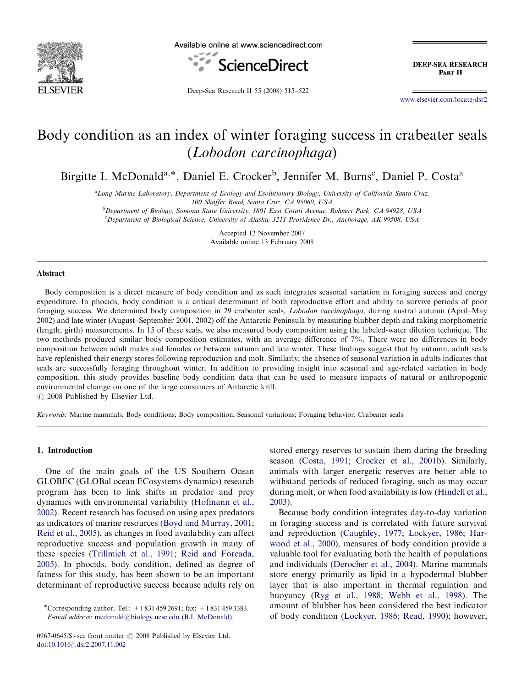

Available online at www.sciencedirect.com



**DEEP-SEA RESEARCH** PART II

Deep-Sea Research II 55 (2008) 515–522

<www.elsevier.com/locate/dsr2>

# Body condition as an index of winter foraging success in crabeater seals (Lobodon carcinophaga)

Birgitte I. McDonald<sup>a,\*</sup>, Daniel E. Crocker<sup>b</sup>, Jennifer M. Burns<sup>c</sup>, Daniel P. Costa<sup>a</sup>

<sup>a</sup> Long Marine Laboratory, Department of Ecology and Evolutionary Biology, University of California Santa Cruz, 100 Shaffer Road, Santa Cruz, CA 95060, USA

<sup>b</sup>Department of Biology, Sonoma State University, 1801 East Cotati Avenue, Rohnert Park, CA 94928, USA <sup>c</sup>Department of Biological Science, University of Alaska, 3211 Providence Dr., Anchorage, AK 99508, USA

> Accepted 12 November 2007 Available online 13 February 2008

#### Abstract

Body composition is a direct measure of body condition and as such integrates seasonal variation in foraging success and energy expenditure. In phocids, body condition is a critical determinant of both reproductive effort and ability to survive periods of poor foraging success. We determined body composition in 29 crabeater seals, Lobodon carcinophaga, during austral autumn (April–May 2002) and late winter (August–September 2001, 2002) off the Antarctic Peninsula by measuring blubber depth and taking morphometric (length, girth) measurements. In 15 of these seals, we also measured body composition using the labeled-water dilution technique. The two methods produced similar body composition estimates, with an average difference of 7%. There were no differences in body composition between adult males and females or between autumn and late winter. These findings suggest that by autumn, adult seals have replenished their energy stores following reproduction and molt. Similarly, the absence of seasonal variation in adults indicates that seals are successfully foraging throughout winter. In addition to providing insight into seasonal and age-related variation in body composition, this study provides baseline body condition data that can be used to measure impacts of natural or anthropogenic environmental change on one of the large consumers of Antarctic krill.

 $\odot$  2008 Published by Elsevier Ltd.

Keywords: Marine mammals; Body conditions; Body composition; Seasonal variations; Foraging behavior; Crabeater seals

#### 1. Introduction

One of the main goals of the US Southern Ocean GLOBEC (GLOBal ocean ECosystems dynamics) research program has been to link shifts in predator and prey dynamics with environmental variability [\(Hofmann et al.,](#page-6-0) [2002](#page-6-0)). Recent research has focused on using apex predators as indicators of marine resources [\(Boyd and Murray, 2001;](#page-6-0) [Reid et al., 2005\)](#page-7-0), as changes in food availability can affect reproductive success and population growth in many of these species [\(Trillmich et al., 1991](#page-7-0); [Reid and Forcada,](#page-7-0) [2005](#page-7-0)). In phocids, body condition, defined as degree of fatness for this study, has been shown to be an important determinant of reproductive success because adults rely on

stored energy reserves to sustain them during the breeding season ([Costa, 1991](#page-6-0); [Crocker et al., 2001b\)](#page-6-0). Similarly, animals with larger energetic reserves are better able to withstand periods of reduced foraging, such as may occur during molt, or when food availability is low [\(Hindell et al.,](#page-6-0) [2003](#page-6-0)).

Because body condition integrates day-to-day variation in foraging success and is correlated with future survival and reproduction [\(Caughley, 1977](#page-6-0); [Lockyer, 1986;](#page-6-0) [Har](#page-6-0)[wood et al., 2000](#page-6-0)), measures of body condition provide a valuable tool for evaluating both the health of populations and individuals ([Derocher et al., 2004\)](#page-6-0). Marine mammals store energy primarily as lipid in a hypodermal blubber layer that is also important in thermal regulation and buoyancy [\(Ryg et al., 1988;](#page-7-0) [Webb et al., 1998\)](#page-7-0). The amount of blubber has been considered the best indicator of body condition [\(Lockyer, 1986;](#page-6-0) [Read, 1990](#page-7-0)); however,

<sup>\*</sup>Corresponding author. Tel.: +18314592691; fax: +18314593383. E-mail address: [mcdonald@biology.ucsc.edu \(B.I. McDonald\).](mailto:mcdonald@biology.ucsc.edu)

<sup>0967-0645/\$ -</sup> see front matter  $\odot$  2008 Published by Elsevier Ltd. doi:[10.1016/j.dsr2.2007.11.002](dx.doi.org/10.1016/j.dsr2.2007.11.002)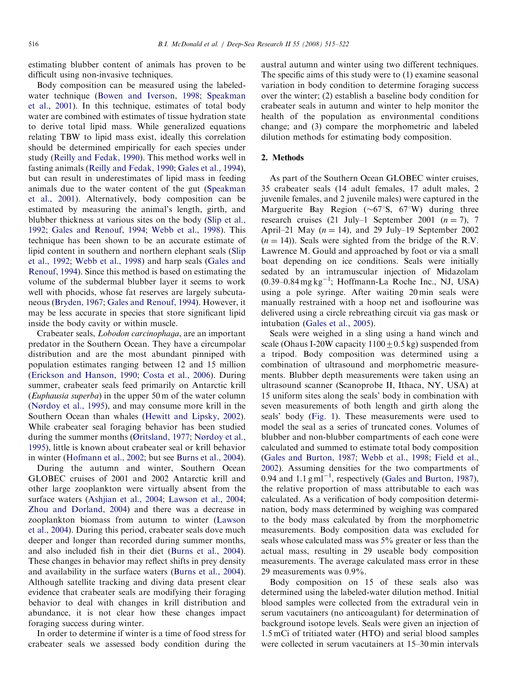estimating blubber content of animals has proven to be difficult using non-invasive techniques.

Body composition can be measured using the labeledwater technique ([Bowen and Iverson, 1998;](#page-6-0) [Speakman](#page-7-0) [et al., 2001\)](#page-7-0). In this technique, estimates of total body water are combined with estimates of tissue hydration state to derive total lipid mass. While generalized equations relating TBW to lipid mass exist, ideally this correlation should be determined empirically for each species under study [\(Reilly and Fedak, 1990](#page-7-0)). This method works well in fasting animals ([Reilly and Fedak, 1990;](#page-7-0) [Gales et al., 1994\)](#page-6-0), but can result in underestimates of lipid mass in feeding animals due to the water content of the gut [\(Speakman](#page-7-0) [et al., 2001\)](#page-7-0). Alternatively, body composition can be estimated by measuring the animal's length, girth, and blubber thickness at various sites on the body ([Slip et al.,](#page-7-0) [1992;](#page-7-0) [Gales and Renouf, 1994;](#page-6-0) [Webb et al., 1998\)](#page-7-0). This technique has been shown to be an accurate estimate of lipid content in southern and northern elephant seals [\(Slip](#page-7-0) [et al., 1992;](#page-7-0) [Webb et al., 1998\)](#page-7-0) and harp seals [\(Gales and](#page-6-0) [Renouf, 1994\)](#page-6-0). Since this method is based on estimating the volume of the subdermal blubber layer it seems to work well with phocids, whose fat reserves are largely subcutaneous [\(Bryden, 1967;](#page-6-0) [Gales and Renouf, 1994\)](#page-6-0). However, it may be less accurate in species that store significant lipid inside the body cavity or within muscle.

Crabeater seals, Lobodon carcinophaga, are an important predator in the Southern Ocean. They have a circumpolar distribution and are the most abundant pinniped with population estimates ranging between 12 and 15 million [\(Erickson and Hanson, 1990](#page-6-0); [Costa et al., 2006\)](#page-6-0). During summer, crabeater seals feed primarily on Antarctic krill (Euphausia superba) in the upper 50 m of the water column [\(Nørdoy et al., 1995\)](#page-6-0), and may consume more krill in the Southern Ocean than whales ([Hewitt and Lipsky, 2002\)](#page-6-0). While crabeater seal foraging behavior has been studied during the summer months ([Øritsland, 1977;](#page-6-0) [Nørdoy et al.,](#page-6-0) [1995\)](#page-6-0), little is known about crabeater seal or krill behavior in winter [\(Hofmann et al., 2002](#page-6-0); but see [Burns et al., 2004\)](#page-6-0).

During the autumn and winter, Southern Ocean GLOBEC cruises of 2001 and 2002 Antarctic krill and other large zooplankton were virtually absent from the surface waters ([Ashjian et al., 2004;](#page-6-0) [Lawson et al., 2004](#page-6-0); [Zhou and Dorland, 2004\)](#page-7-0) and there was a decrease in zooplankton biomass from autumn to winter [\(Lawson](#page-6-0) [et al., 2004\)](#page-6-0). During this period, crabeater seals dove much deeper and longer than recorded during summer months, and also included fish in their diet [\(Burns et al., 2004\)](#page-6-0). These changes in behavior may reflect shifts in prey density and availability in the surface waters ([Burns et al., 2004\)](#page-6-0). Although satellite tracking and diving data present clear evidence that crabeater seals are modifying their foraging behavior to deal with changes in krill distribution and abundance, it is not clear how these changes impact foraging success during winter.

In order to determine if winter is a time of food stress for crabeater seals we assessed body condition during the

austral autumn and winter using two different techniques. The specific aims of this study were to (1) examine seasonal variation in body condition to determine foraging success over the winter; (2) establish a baseline body condition for crabeater seals in autumn and winter to help monitor the health of the population as environmental conditions change; and (3) compare the morphometric and labeled dilution methods for estimating body composition.

#### 2. Methods

As part of the Southern Ocean GLOBEC winter cruises, 35 crabeater seals (14 adult females, 17 adult males, 2 juvenile females, and 2 juvenile males) were captured in the Marguerite Bay Region ( $\sim 67^\circ$ S, 67°W) during three research cruises (21 July–1 September 2001 ( $n = 7$ ), 7 April–21 May  $(n = 14)$ , and 29 July–19 September 2002  $(n = 14)$ ). Seals were sighted from the bridge of the R.V. Lawrence M. Gould and approached by foot or via a small boat depending on ice conditions. Seals were initially sedated by an intramuscular injection of Midazolam  $(0.39 - 0.84 \text{ mg kg}^{-1})$ ; Hoffmann-La Roche Inc., NJ, USA) using a pole syringe. After waiting 20 min seals were manually restrained with a hoop net and isoflourine was delivered using a circle rebreathing circuit via gas mask or intubation ([Gales et al., 2005\)](#page-6-0).

Seals were weighed in a sling using a hand winch and scale (Ohaus I-20W capacity  $1100 \pm 0.5$  kg) suspended from a tripod. Body composition was determined using a combination of ultrasound and morphometric measurements. Blubber depth measurements were taken using an ultrasound scanner (Scanoprobe II, Ithaca, NY, USA) at 15 uniform sites along the seals' body in combination with seven measurements of both length and girth along the seals' body ([Fig. 1](#page-2-0)). These measurements were used to model the seal as a series of truncated cones. Volumes of blubber and non-blubber compartments of each cone were calculated and summed to estimate total body composition [\(Gales and Burton, 1987](#page-6-0); [Webb et al., 1998](#page-7-0); [Field et al.,](#page-6-0) [2002\)](#page-6-0). Assuming densities for the two compartments of 0.94 and  $1.1 \text{ g m}$ <sup>1</sup>, respectively [\(Gales and Burton, 1987\)](#page-6-0), the relative proportion of mass attributable to each was calculated. As a verification of body composition determination, body mass determined by weighing was compared to the body mass calculated by from the morphometric measurements. Body composition data was excluded for seals whose calculated mass was 5% greater or less than the actual mass, resulting in 29 useable body composition measurements. The average calculated mass error in these 29 measurements was 0.9%.

Body composition on 15 of these seals also was determined using the labeled-water dilution method. Initial blood samples were collected from the extradural vein in serum vacutainers (no anticoagulant) for determination of background isotope levels. Seals were given an injection of 1.5 mCi of tritiated water (HTO) and serial blood samples were collected in serum vacutainers at 15–30 min intervals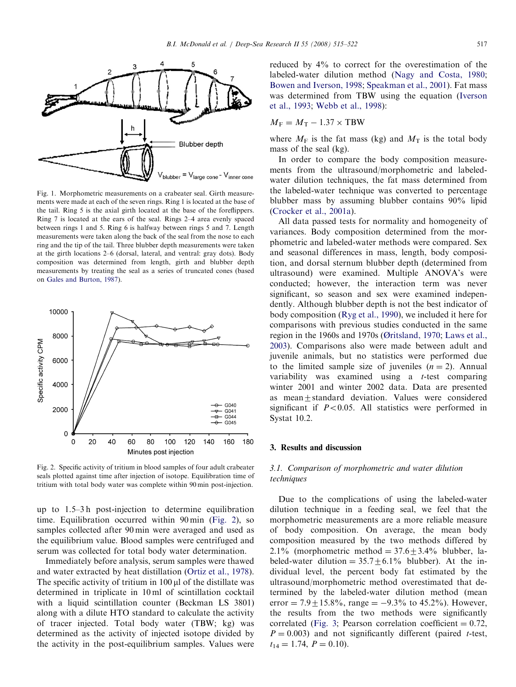<span id="page-2-0"></span>

Fig. 1. Morphometric measurements on a crabeater seal. Girth measurements were made at each of the seven rings. Ring 1 is located at the base of the tail. Ring 5 is the axial girth located at the base of the foreflippers. Ring 7 is located at the ears of the seal. Rings 2–4 area evenly spaced between rings 1 and 5. Ring 6 is halfway between rings 5 and 7. Length measurements were taken along the back of the seal from the nose to each ring and the tip of the tail. Three blubber depth measurements were taken at the girth locations 2–6 (dorsal, lateral, and ventral: gray dots). Body composition was determined from length, girth and blubber depth measurements by treating the seal as a series of truncated cones (based on [Gales and Burton, 1987](#page-6-0)).



Fig. 2. Specific activity of tritium in blood samples of four adult crabeater seals plotted against time after injection of isotope. Equilibration time of tritium with total body water was complete within 90 min post-injection.

up to 1.5–3 h post-injection to determine equilibration time. Equilibration occurred within 90 min (Fig. 2), so samples collected after 90 min were averaged and used as the equilibrium value. Blood samples were centrifuged and serum was collected for total body water determination.

Immediately before analysis, serum samples were thawed and water extracted by heat distillation [\(Ortiz et al., 1978\)](#page-7-0). The specific activity of tritium in  $100 \mu l$  of the distillate was determined in triplicate in 10 ml of scintillation cocktail with a liquid scintillation counter (Beckman LS 3801) along with a dilute HTO standard to calculate the activity of tracer injected. Total body water (TBW; kg) was determined as the activity of injected isotope divided by the activity in the post-equilibrium samples. Values were reduced by 4% to correct for the overestimation of the labeled-water dilution method ([Nagy and Costa, 1980;](#page-6-0) [Bowen and Iverson, 1998](#page-6-0); [Speakman et al., 2001\)](#page-7-0). Fat mass was determined from TBW using the equation ([Iverson](#page-6-0) [et al., 1993;](#page-6-0) [Webb et al., 1998\)](#page-7-0):

$$
M_{\rm F} = M_{\rm T} - 1.37 \times \text{TBW}
$$

where  $M_F$  is the fat mass (kg) and  $M_T$  is the total body mass of the seal (kg).

In order to compare the body composition measurements from the ultrasound/morphometric and labeledwater dilution techniques, the fat mass determined from the labeled-water technique was converted to percentage blubber mass by assuming blubber contains 90% lipid ([Crocker et al., 2001a](#page-6-0)).

All data passed tests for normality and homogeneity of variances. Body composition determined from the morphometric and labeled-water methods were compared. Sex and seasonal differences in mass, length, body composition, and dorsal sternum blubber depth (determined from ultrasound) were examined. Multiple ANOVA's were conducted; however, the interaction term was never significant, so season and sex were examined independently. Although blubber depth is not the best indicator of body composition ([Ryg et al., 1990\)](#page-7-0), we included it here for comparisons with previous studies conducted in the same region in the 1960s and 1970s ([Øritsland, 1970](#page-6-0); [Laws et al.,](#page-6-0) [2003](#page-6-0)). Comparisons also were made between adult and juvenile animals, but no statistics were performed due to the limited sample size of juveniles  $(n = 2)$ . Annual variability was examined using a t-test comparing winter 2001 and winter 2002 data. Data are presented as mean+standard deviation. Values were considered significant if  $P < 0.05$ . All statistics were performed in Systat 10.2.

#### 3. Results and discussion

## 3.1. Comparison of morphometric and water dilution techniques

Due to the complications of using the labeled-water dilution technique in a feeding seal, we feel that the morphometric measurements are a more reliable measure of body composition. On average, the mean body composition measured by the two methods differed by 2.1% (morphometric method =  $37.6 \pm 3.4$ % blubber, labeled-water dilution =  $35.7 \pm 6.1\%$  blubber). At the individual level, the percent body fat estimated by the ultrasound/morphometric method overestimated that determined by the labeled-water dilution method (mean error =  $7.9 \pm 15.8\%$ , range =  $-9.3\%$  to 45.2%). However, the results from the two methods were significantly correlated [\(Fig. 3;](#page-3-0) Pearson correlation coefficient  $= 0.72$ ,  $P = 0.003$ ) and not significantly different (paired t-test,  $t_{14} = 1.74, P = 0.10$ .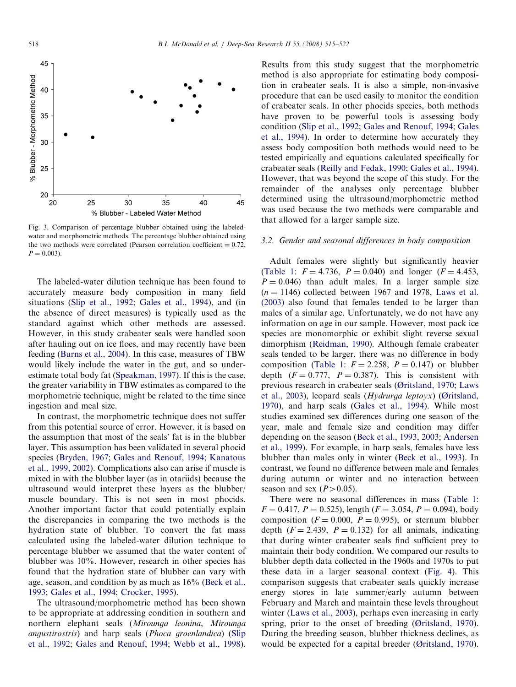<span id="page-3-0"></span>

Fig. 3. Comparison of percentage blubber obtained using the labeledwater and morphometric methods. The percentage blubber obtained using the two methods were correlated (Pearson correlation coefficient  $= 0.72$ ,  $P = 0.003$ .

The labeled-water dilution technique has been found to accurately measure body composition in many field situations [\(Slip et al., 1992;](#page-7-0) [Gales et al., 1994\)](#page-6-0), and (in the absence of direct measures) is typically used as the standard against which other methods are assessed. However, in this study crabeater seals were handled soon after hauling out on ice floes, and may recently have been feeding ([Burns et al., 2004](#page-6-0)). In this case, measures of TBW would likely include the water in the gut, and so underestimate total body fat ([Speakman, 1997](#page-7-0)). If this is the case, the greater variability in TBW estimates as compared to the morphometric technique, might be related to the time since ingestion and meal size.

In contrast, the morphometric technique does not suffer from this potential source of error. However, it is based on the assumption that most of the seals' fat is in the blubber layer. This assumption has been validated in several phocid species [\(Bryden, 1967](#page-6-0); [Gales and Renouf, 1994;](#page-6-0) [Kanatous](#page-6-0) [et al., 1999, 2002](#page-6-0)). Complications also can arise if muscle is mixed in with the blubber layer (as in otariids) because the ultrasound would interpret these layers as the blubber/ muscle boundary. This is not seen in most phocids. Another important factor that could potentially explain the discrepancies in comparing the two methods is the hydration state of blubber. To convert the fat mass calculated using the labeled-water dilution technique to percentage blubber we assumed that the water content of blubber was 10%. However, research in other species has found that the hydration state of blubber can vary with age, season, and condition by as much as 16% ([Beck et al.,](#page-6-0) [1993;](#page-6-0) [Gales et al., 1994;](#page-6-0) [Crocker, 1995](#page-6-0)).

The ultrasound/morphometric method has been shown to be appropriate at addressing condition in southern and northern elephant seals (Mirounga leonina, Mirounga angustirostris) and harp seals (Phoca groenlandica) [\(Slip](#page-7-0) [et al., 1992](#page-7-0); [Gales and Renouf, 1994;](#page-6-0) [Webb et al., 1998\)](#page-7-0).

Results from this study suggest that the morphometric method is also appropriate for estimating body composition in crabeater seals. It is also a simple, non-invasive procedure that can be used easily to monitor the condition of crabeater seals. In other phocids species, both methods have proven to be powerful tools is assessing body condition ([Slip et al., 1992](#page-7-0); [Gales and Renouf, 1994](#page-6-0); [Gales](#page-6-0) [et al., 1994\)](#page-6-0). In order to determine how accurately they assess body composition both methods would need to be tested empirically and equations calculated specifically for crabeater seals ([Reilly and Fedak, 1990;](#page-7-0) [Gales et al., 1994\)](#page-6-0). However, that was beyond the scope of this study. For the remainder of the analyses only percentage blubber determined using the ultrasound/morphometric method was used because the two methods were comparable and that allowed for a larger sample size.

#### 3.2. Gender and seasonal differences in body composition

Adult females were slightly but significantly heavier [\(Table 1:](#page-4-0)  $F = 4.736$ ,  $P = 0.040$ ) and longer ( $F = 4.453$ ,  $P = 0.046$ ) than adult males. In a larger sample size  $(n = 1146)$  collected between 1967 and 1978, [Laws et al.](#page-6-0) [\(2003\)](#page-6-0) also found that females tended to be larger than males of a similar age. Unfortunately, we do not have any information on age in our sample. However, most pack ice species are monomorphic or exhibit slight reverse sexual dimorphism ([Reidman, 1990](#page-7-0)). Although female crabeater seals tended to be larger, there was no difference in body composition ([Table 1:](#page-4-0)  $F = 2.258$ ,  $P = 0.147$ ) or blubber depth  $(F = 0.777, P = 0.387)$ . This is consistent with previous research in crabeater seals ([Øritsland, 1970](#page-6-0); [Laws](#page-6-0) [et al., 2003](#page-6-0)), leopard seals (Hydrurga leptoyx) ([Øritsland,](#page-6-0) [1970\)](#page-6-0), and harp seals [\(Gales et al., 1994\)](#page-6-0). While most studies examined sex differences during one season of the year, male and female size and condition may differ depending on the season ([Beck et al., 1993, 2003;](#page-6-0) [Andersen](#page-5-0) [et al., 1999](#page-5-0)). For example, in harp seals, females have less blubber than males only in winter ([Beck et al., 1993](#page-6-0)). In contrast, we found no difference between male and females during autumn or winter and no interaction between season and sex  $(P>0.05)$ .

There were no seasonal differences in mass ([Table 1](#page-4-0):  $F = 0.417$ ,  $P = 0.525$ ), length ( $F = 3.054$ ,  $P = 0.094$ ), body composition ( $F = 0.000$ ,  $P = 0.995$ ), or sternum blubber depth  $(F = 2.439, P = 0.132)$  for all animals, indicating that during winter crabeater seals find sufficient prey to maintain their body condition. We compared our results to blubber depth data collected in the 1960s and 1970s to put these data in a larger seasonal context ([Fig. 4\)](#page-4-0). This comparison suggests that crabeater seals quickly increase energy stores in late summer/early autumn between February and March and maintain these levels throughout winter ([Laws et al., 2003](#page-6-0)), perhaps even increasing in early spring, prior to the onset of breeding [\(Øritsland, 1970\)](#page-6-0). During the breeding season, blubber thickness declines, as would be expected for a capital breeder [\(Øritsland, 1970\)](#page-6-0).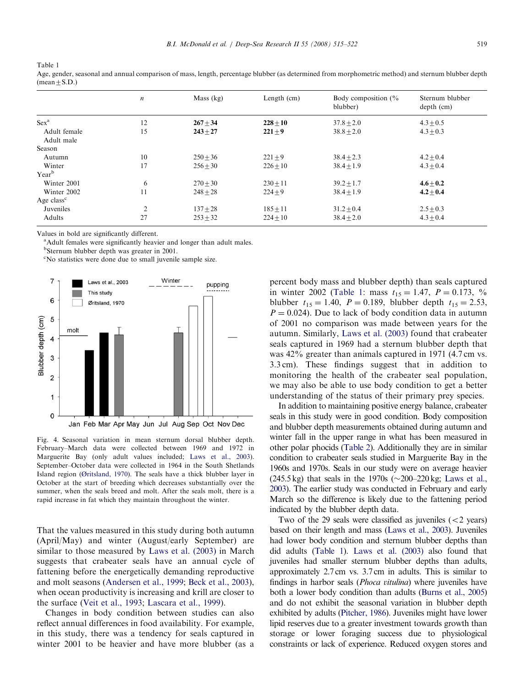<span id="page-4-0"></span>Table 1

|                        | $\boldsymbol{n}$ | Mass $(kg)$ | Length $(cm)$ | Body composition $\frac{6}{6}$<br>blubber) | Sternum blubber<br>$depth$ (cm) |
|------------------------|------------------|-------------|---------------|--------------------------------------------|---------------------------------|
| $Sex^a$                | 12               | $267 + 34$  | $228 + 10$    | $37.8 + 2.0$                               | $4.3 + 0.5$                     |
| Adult female           | 15               | $243 + 27$  | $221 + 9$     | $38.8 + 2.0$                               | $4.3 + 0.3$                     |
| Adult male             |                  |             |               |                                            |                                 |
| Season                 |                  |             |               |                                            |                                 |
| Autumn                 | 10               | $250 + 36$  | $221 + 9$     | $38.4 + 2.3$                               | $4.2 + 0.4$                     |
| Winter                 | 17               | $256 + 30$  | $226 + 10$    | $38.4 + 1.9$                               | $4.3 + 0.4$                     |
| Year <sup>b</sup>      |                  |             |               |                                            |                                 |
| Winter 2001            | 6                | $270 + 30$  | $230 + 11$    | $39.2 + 1.7$                               | $4.6 + 0.2$                     |
| Winter 2002            | 11               | $248 + 28$  | $224 + 9$     | $38.4 + 1.9$                               | $4.2 \pm 0.4$                   |
| Age class <sup>c</sup> |                  |             |               |                                            |                                 |
| Juveniles              | 2                | $137 + 28$  | $185 + 11$    | $31.2 + 0.4$                               | $2.5 + 0.3$                     |
| <b>Adults</b>          | 27               | $253 + 32$  | $224 + 10$    | $38.4 + 2.0$                               | $4.3 + 0.4$                     |

Age, gender, seasonal and annual comparison of mass, length, percentage blubber (as determined from morphometric method) and sternum blubber depth  $(mean \pm S.D.)$ 

Values in bold are significantly different.

<sup>a</sup> Adult females were significantly heavier and longer than adult males. <sup>b</sup>Sternum blubber depth was greater in 2001.

c No statistics were done due to small juvenile sample size.



Fig. 4. Seasonal variation in mean sternum dorsal blubber depth. February–March data were collected between 1969 and 1972 in Marguerite Bay (only adult values included; [Laws et al., 2003\)](#page-6-0). September–October data were collected in 1964 in the South Shetlands Island region [\(Øritsland, 1970](#page-6-0)). The seals have a thick blubber layer in October at the start of breeding which decreases substantially over the summer, when the seals breed and molt. After the seals molt, there is a rapid increase in fat which they maintain throughout the winter.

That the values measured in this study during both autumn (April/May) and winter (August/early September) are similar to those measured by [Laws et al. \(2003\)](#page-6-0) in March suggests that crabeater seals have an annual cycle of fattening before the energetically demanding reproductive and molt seasons ([Andersen et al., 1999;](#page-5-0) [Beck et al., 2003\)](#page-6-0), when ocean productivity is increasing and krill are closer to the surface ([Veit et al., 1993](#page-7-0); [Lascara et al., 1999\)](#page-6-0).

Changes in body condition between studies can also reflect annual differences in food availability. For example, in this study, there was a tendency for seals captured in winter 2001 to be heavier and have more blubber (as a percent body mass and blubber depth) than seals captured in winter 2002 (Table 1: mass  $t_{15} = 1.47$ ,  $P = 0.173$ , % blubber  $t_{15} = 1.40$ ,  $P = 0.189$ , blubber depth  $t_{15} = 2.53$ ,  $P = 0.024$ ). Due to lack of body condition data in autumn of 2001 no comparison was made between years for the autumn. Similarly, [Laws et al. \(2003\)](#page-6-0) found that crabeater seals captured in 1969 had a sternum blubber depth that was 42% greater than animals captured in 1971 (4.7 cm vs. 3.3 cm). These findings suggest that in addition to monitoring the health of the crabeater seal population, we may also be able to use body condition to get a better understanding of the status of their primary prey species.

In addition to maintaining positive energy balance, crabeater seals in this study were in good condition. Body composition and blubber depth measurements obtained during autumn and winter fall in the upper range in what has been measured in other polar phocids [\(Table 2](#page-5-0)). Additionally they are in similar condition to crabeater seals studied in Marguerite Bay in the 1960s and 1970s. Seals in our study were on average heavier  $(245.5 \text{ kg})$  that seals in the 1970s  $(\sim 200-220 \text{ kg})$ ; [Laws et al.,](#page-6-0) [2003](#page-6-0)). The earlier study was conducted in February and early March so the difference is likely due to the fattening period indicated by the blubber depth data.

Two of the 29 seals were classified as juveniles  $\left($  < 2 years) based on their length and mass [\(Laws et al., 2003](#page-6-0)). Juveniles had lower body condition and sternum blubber depths than did adults (Table 1). [Laws et al. \(2003\)](#page-6-0) also found that juveniles had smaller sternum blubber depths than adults, approximately 2.7 cm vs. 3.7 cm in adults. This is similar to findings in harbor seals (Phoca vitulina) where juveniles have both a lower body condition than adults [\(Burns et al., 2005](#page-6-0)) and do not exhibit the seasonal variation in blubber depth exhibited by adults ([Pitcher, 1986\)](#page-7-0). Juveniles might have lower lipid reserves due to a greater investment towards growth than storage or lower foraging success due to physiological constraints or lack of experience. Reduced oxygen stores and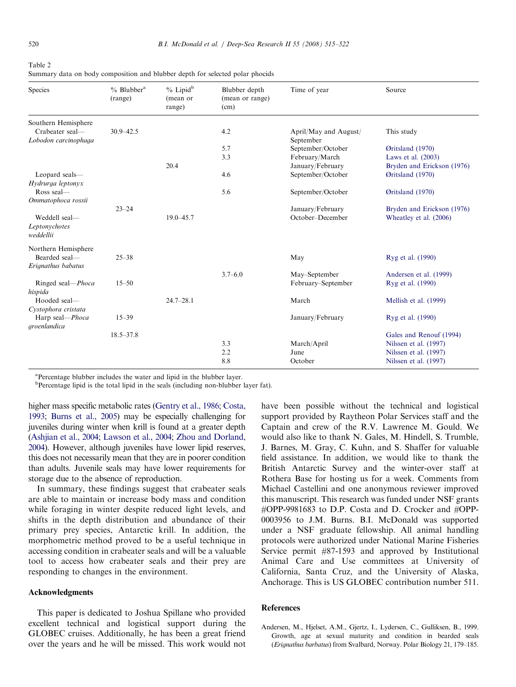<span id="page-5-0"></span>

| Table 2                                                                       |  |  |  |  |  |  |
|-------------------------------------------------------------------------------|--|--|--|--|--|--|
| Summary data on body composition and blubber depth for selected polar phocids |  |  |  |  |  |  |

| Species                                     | $%$ Blubber <sup>a</sup><br>(range) | % Lipid <sup>b</sup><br>(mean or<br>range) | Blubber depth<br>(mean or range)<br>(cm) | Time of year          | Source                                         |
|---------------------------------------------|-------------------------------------|--------------------------------------------|------------------------------------------|-----------------------|------------------------------------------------|
| Southern Hemisphere<br>Crabeater seal-      | $30.9 - 42.5$                       |                                            | 4.2                                      | April/May and August/ | This study                                     |
| Lobodon carcinophaga                        |                                     |                                            |                                          | September             |                                                |
|                                             |                                     |                                            | 5.7                                      | September/October     | Øritsland (1970)                               |
|                                             |                                     |                                            | 3.3                                      | February/March        | Laws et al. (2003)                             |
|                                             |                                     | 20.4                                       |                                          | January/February      | Bryden and Erickson (1976)                     |
| Leopard seals-<br>Hydrurga leptonyx         |                                     |                                            | 4.6                                      | September/October     | Øritsland (1970)                               |
| Ross seal-<br>Ommatophoca rossii            |                                     |                                            | 5.6                                      | September/October     | Øritsland (1970)                               |
|                                             | $23 - 24$                           |                                            |                                          | January/February      | Bryden and Erickson (1976)                     |
| Weddell seal-<br>Leptonychotes<br>weddellii |                                     | $19.0 - 45.7$                              |                                          | October-December      | Wheatley et al. (2006)                         |
| Northern Hemisphere                         |                                     |                                            |                                          |                       |                                                |
| Bearded seal-<br>Erignathus babatus         | $25 - 38$                           |                                            |                                          | May                   | Ryg et al. (1990)                              |
|                                             |                                     |                                            | $3.7 - 6.0$                              | May-September         | Andersen et al. (1999)                         |
| Ringed seal-Phoca<br>hispida                | $15 - 50$                           |                                            |                                          | February-September    | Ryg et al. (1990)                              |
| Hooded seal-<br>Cystophora cristata         |                                     | $24.7 - 28.1$                              |                                          | March                 | Mellish et al. (1999)                          |
| Harp seal-Phoca                             | $15 - 39$                           |                                            |                                          | January/February      | Ryg et al. (1990)                              |
| groenlandica                                |                                     |                                            |                                          |                       |                                                |
|                                             | $18.5 - 37.8$                       |                                            |                                          |                       | Gales and Renouf (1994)                        |
|                                             |                                     |                                            | 3.3                                      | March/April           | Nilssen et al. (1997)                          |
|                                             |                                     |                                            | 2.2<br>8.8                               | June<br>October       | Nilssen et al. (1997)<br>Nilssen et al. (1997) |

<sup>a</sup>Percentage blubber includes the water and lipid in the blubber layer.

<sup>b</sup>Percentage lipid is the total lipid in the seals (including non-blubber layer fat).

higher mass specific metabolic rates [\(Gentry et al., 1986;](#page-6-0) [Costa,](#page-6-0) [1993](#page-6-0); [Burns et al., 2005](#page-6-0)) may be especially challenging for juveniles during winter when krill is found at a greater depth [\(Ashjian et al., 2004;](#page-6-0) [Lawson et al., 2004](#page-6-0); [Zhou and Dorland,](#page-7-0) [2004](#page-7-0)). However, although juveniles have lower lipid reserves, this does not necessarily mean that they are in poorer condition than adults. Juvenile seals may have lower requirements for storage due to the absence of reproduction.

In summary, these findings suggest that crabeater seals are able to maintain or increase body mass and condition while foraging in winter despite reduced light levels, and shifts in the depth distribution and abundance of their primary prey species, Antarctic krill. In addition, the morphometric method proved to be a useful technique in accessing condition in crabeater seals and will be a valuable tool to access how crabeater seals and their prey are responding to changes in the environment.

## Acknowledgments

This paper is dedicated to Joshua Spillane who provided excellent technical and logistical support during the GLOBEC cruises. Additionally, he has been a great friend over the years and he will be missed. This work would not have been possible without the technical and logistical support provided by Raytheon Polar Services staff and the Captain and crew of the R.V. Lawrence M. Gould. We would also like to thank N. Gales, M. Hindell, S. Trumble, J. Barnes, M. Gray, C. Kuhn, and S. Shaffer for valuable field assistance. In addition, we would like to thank the British Antarctic Survey and the winter-over staff at Rothera Base for hosting us for a week. Comments from Michael Castellini and one anonymous reviewer improved this manuscript. This research was funded under NSF grants #OPP-9981683 to D.P. Costa and D. Crocker and #OPP-0003956 to J.M. Burns. B.I. McDonald was supported under a NSF graduate fellowship. All animal handling protocols were authorized under National Marine Fisheries Service permit #87-1593 and approved by Institutional Animal Care and Use committees at University of California, Santa Cruz, and the University of Alaska, Anchorage. This is US GLOBEC contribution number 511.

### References

Andersen, M., Hjelset, A.M., Gjertz, I., Lydersen, C., Gulliksen, B., 1999. Growth, age at sexual maturity and condition in bearded seals (Erignathus barbatus) from Svalbard, Norway. Polar Biology 21, 179–185.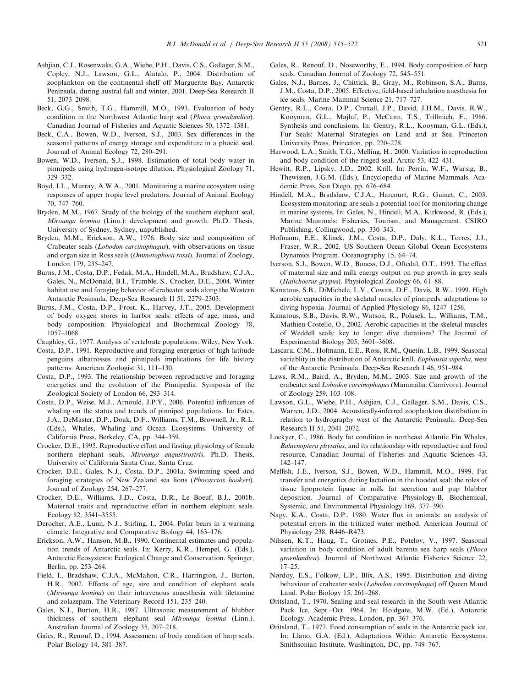- <span id="page-6-0"></span>Ashjian, C.J., Rosenwaks, G.A., Wiebe, P.H., Davis, C.S., Gallager, S.M., Copley, N.J., Lawson, G.L., Alatalo, P., 2004. Distribution of zooplankton on the continental shelf off Marguerite Bay, Antarctic Peninsula, during austral fall and winter, 2001. Deep-Sea Research II 51, 2073–2098.
- Beck, G.G., Smith, T.G., Hammill, M.O., 1993. Evaluation of body condition in the Northwest Atlantic harp seal (Phoca groenlandica). Canadian Journal of Fisheries and Aquatic Sciences 50, 1372–1381.
- Beck, C.A., Bowen, W.D., Iverson, S.J., 2003. Sex differences in the seasonal patterns of energy storage and expenditure in a phocid seal. Journal of Animal Ecology 72, 280–291.
- Bowen, W.D., Iverson, S.J., 1998. Estimation of total body water in pinnipeds using hydrogen-isotope dilution. Physiological Zoology 71, 329–332.
- Boyd, I.L., Murray, A.W.A., 2001. Monitoring a marine ecosystem using responses of upper tropic level predators. Journal of Animal Ecology 70, 747–760.
- Bryden, M.M., 1967. Study of the biology of the southern elephant seal, Mirounga leonina (Linn.): development and growth. Ph.D. Thesis, University of Sydney, Sydney, unpublished.
- Bryden, M.M., Erickson, A.W., 1976. Body size and composition of Crabeater seals (Lobodon carcinophagus), with observations on tissue and organ size in Ross seals (Ommatophoca rossi). Journal of Zoology, London 179, 235–247.
- Burns, J.M., Costa, D.P., Fedak, M.A., Hindell, M.A., Bradshaw, C.J.A., Gales, N., McDonald, B.I., Trumble, S., Crocker, D.E., 2004. Winter habitat use and foraging behavior of crabeater seals along the Western Antarctic Peninsula. Deep-Sea Research II 51, 2279–2303.
- Burns, J.M., Costa, D.P., Frost, K., Harvey, J.T., 2005. Development of body oxygen stores in harbor seals: effects of age, mass, and body composition. Physiological and Biochemical Zoology 78, 1057–1068.
- Caughley, G., 1977. Analysis of vertebrate populations. Wiley, New York.
- Costa, D.P., 1991. Reproductive and foraging energetics of high latitude penguins albatrosses and pinnipeds implications for life history patterns. American Zoologist 31, 111–130.
- Costa, D.P., 1993. The relationship between reproductive and foraging energetics and the evolution of the Pinnipedia. Symposia of the Zoological Society of London 66, 293–314.
- Costa, D.P., Weise, M.J., Arnould, J.P.Y., 2006. Potential influences of whaling on the status and trends of pinniped populations. In: Estes, J.A., DeMaster, D.P., Doak, D.F., Williams, T.M., Brownell, Jr., R.L. (Eds.), Whales, Whaling and Ocean Ecosystems. University of California Press, Berkeley, CA, pp. 344–359.
- Crocker, D.E., 1995. Reproductive effort and fasting physiology of female northern elephant seals, Mirounga angustirostris. Ph.D. Thesis, University of California Santa Cruz, Santa Cruz.
- Crocker, D.E., Gales, N.J., Costa, D.P., 2001a. Swimming speed and foraging strategies of New Zealand sea lions (Phocarctos hookeri). Journal of Zoology 254, 267–277.
- Crocker, D.E., Williams, J.D., Costa, D.R., Le Boeuf, B.J., 2001b. Maternal traits and reproductive effort in northern elephant seals. Ecology 82, 3541–3555.
- Derocher, A.E., Lunn, N.J., Stirling, I., 2004. Polar bears in a warming climate. Integrative and Comparative Biology 44, 163–176.
- Erickson, A.W., Hanson, M.B., 1990. Continental estimates and population trends of Antarctic seals. In: Kerry, K.R., Hempel, G. (Eds.), Antarctic Ecosystems: Ecological Change and Conservation. Springer, Berlin, pp. 253–264.
- Field, I., Bradshaw, C.J.A., McMahon, C.R., Harrington, J., Burton, H.R., 2002. Effects of age, size and condition of elephant seals (Mirounga leonina) on their intravenous anaesthesia with tiletamine and zolazepam. The Veterinary Record 151, 235–240.
- Gales, N.J., Burton, H.R., 1987. Ultrasonic measurement of blubber thickness of southern elephant seal Mirounga leonina (Linn.). Australian Journal of Zoology 35, 207–218.
- Gales, R., Renouf, D., 1994. Assessment of body condition of harp seals. Polar Biology 14, 381–387.
- Gales, R., Renouf, D., Noseworthy, E., 1994. Body composition of harp seals. Canadian Journal of Zoology 72, 545–551.
- Gales, N.J., Barnes, J., Chittick, B., Gray, M., Robinson, S.A., Burns, J.M., Costa, D.P., 2005. Effective, field-based inhalation anesthesia for ice seals. Marine Mammal Science 21, 717–727.
- Gentry, R.L., Costa, D.P., Croxall, J.P., David, J.H.M., Davis, R.W., Kooyman, G.L., Majluf, P., McCann, T.S., Trillmich, F., 1986. Synthesis and conclusions. In: Gentry, R.L., Kooyman, G.L. (Eds.), Fur Seals: Maternal Strategies on Land and at Sea. Princeton University Press, Princeton, pp. 220–278.
- Harwood, L.A., Smith, T.G., Melling, H., 2000. Variation in reproduction and body condition of the ringed seal. Arctic 53, 422–431.
- Hewitt, R.P., Lipsky, J.D., 2002. Krill. In: Perrin, W.F., Wursig, B., Thewissen, J.G.M. (Eds.), Encyclopedia of Marine Mammals. Academic Press, San Diego, pp. 676–684.
- Hindell, M.A., Bradshaw, C.J.A., Harcourt, R.G., Guinet, C., 2003. Ecosystem monitoring: are seals a potential tool for monitoring change in marine systems. In: Gales, N., Hindell, M.A., Kirkwood, R. (Eds.), Marine Mammals: Fisheries, Tourism, and Management. CSIRO Publishing, Collingwood, pp. 330–343.
- Hofmann, E.E., Klinck, J.M., Costa, D.P., Daly, K.L., Torres, J.J., Fraser, W.R., 2002. US Southern Ocean Global Ocean Ecosystems Dynamics Program. Oceanography 15, 64–74.
- Iverson, S.J., Bowen, W.D., Boness, D.J., Oftedal, O.T., 1993. The effect of maternal size and milk energy output on pup growth in grey seals (Halichoerus grypus). Physiological Zoology 66, 61–88.
- Kanatous, S.B., DiMichele, L.V., Cowan, D.F., Davis, R.W., 1999. High aerobic capacities in the skelatal muscles of pinnipeds: adaptations to diving hypoxia. Journal of Applied Physiology 86, 1247–1256.
- Kanatous, S.B., Davis, R.W., Watson, R., Polasek, L., Williams, T.M., Mathieu-Costello, O., 2002. Aerobic capacities in the skeletal muscles of Weddell seals: key to longer dive durations? The Journal of Experimental Biology 205, 3601–3608.
- Lascara, C.M., Hofmann, E.E., Ross, R.M., Quetin, L.B., 1999. Seasonal variablity in the distribution of Antarctic krill, Euphausia superba, west of the Antarctic Peninsula. Deep-Sea Research I 46, 951–984.
- Laws, R.M., Baird, A., Bryden, M.M., 2003. Size and growth of the crabeater seal Lobodon carcinophagus (Mammalia: Carnivora). Journal of Zoology 259, 103–108.
- Lawson, G.L., Wiebe, P.H., Ashjian, C.J., Gallager, S.M., Davis, C.S., Warren, J.D., 2004. Acoustically-inferred zooplankton distribution in relation to hydrography west of the Antarctic Peninsula. Deep-Sea Research II 51, 2041–2072.
- Lockyer, C., 1986. Body fat condition in northeast Atlantic Fin Whales, Balaenoptera physalus, and its relationship with reproductive and food resource. Canadian Journal of Fisheries and Aquatic Sciences 43, 142–147.
- Mellish, J.E., Iverson, S.J., Bowen, W.D., Hammill, M.O., 1999. Fat transfer and energetics during lactation in the hooded seal: the roles of tissue lipoprotein lipase in milk fat secretion and pup blubber deposition. Journal of Comparative Physiology-B, Biochemical, Systemic, and Environmental Physiology 169, 377–390.
- Nagy, K.A., Costa, D.P., 1980. Water flux in animals: an analysis of potential errors in the tritiated water method. American Journal of Physiology 238, R446–R473.
- Nilssen, K.T., Haug, T., Grotnes, P.E., Potelov, V., 1997. Seasonal variation in body condition of adult barents sea harp seals (Phoca groenlandica). Journal of Northwest Atlantic Fisheries Science 22, 17–25.
- Nørdoy, E.S., Folkow, L.P., Blix, A.S., 1995. Distribution and diving behaviour of crabeater seals (Lobodon carcinophagus) off Queen Maud Land. Polar Biology 15, 261–268.
- Øritsland, T., 1970. Sealing and seal research in the South-west Atlantic Pack Ice, Sept.–Oct. 1964. In: Holdgate, M.W. (Ed.), Antarctic Ecology. Academic Press, London, pp. 367–376.
- Øritsland, T., 1977. Food consumption of seals in the Antarctic pack ice. In: Llano, G.A. (Ed.), Adaptations Within Antarctic Ecosystems. Smithsonian Institute, Washington, DC, pp. 749–767.